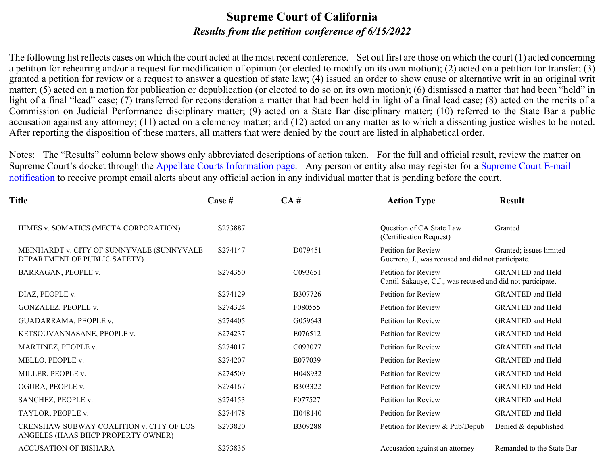### **Supreme Court of California** *Results from the petition conference of 6/15/2022*

The following list reflects cases on which the court acted at the most recent conference. Set out first are those on which the court (1) acted concerning a petition for rehearing and/or a request for modification of opinion (or elected to modify on its own motion); (2) acted on a petition for transfer; (3) granted a petition for review or a request to answer a question of state law; (4) issued an order to show cause or alternative writ in an original writ matter; (5) acted on a motion for publication or depublication (or elected to do so on its own motion); (6) dismissed a matter that had been "held" in light of a final "lead" case; (7) transferred for reconsideration a matter that had been held in light of a final lead case; (8) acted on the merits of a Commission on Judicial Performance disciplinary matter; (9) acted on a State Bar disciplinary matter; (10) referred to the State Bar a public accusation against any attorney; (11) acted on a clemency matter; and (12) acted on any matter as to which a dissenting justice wishes to be noted. After reporting the disposition of these matters, all matters that were denied by the court are listed in alphabetical order.

Notes: The "Results" column below shows only abbreviated descriptions of action taken. For the full and official result, review the matter on Supreme Court's docket through the **Appellate Courts Information page**. Any person or entity also may register for a Supreme Court E-mail [notification](http://appellatecases.courtinfo.ca.gov/email.cfm?dist=0) to receive prompt email alerts about any official action in any individual matter that is pending before the court.

| Title                                                                          | <u>Case #</u> | CA#     | <b>Action Type</b>                                                                | <b>Result</b>             |
|--------------------------------------------------------------------------------|---------------|---------|-----------------------------------------------------------------------------------|---------------------------|
| HIMES v. SOMATICS (MECTA CORPORATION)                                          | S273887       |         | Question of CA State Law<br>(Certification Request)                               | Granted                   |
| MEINHARDT v. CITY OF SUNNYVALE (SUNNYVALE<br>DEPARTMENT OF PUBLIC SAFETY)      | S274147       | D079451 | Petition for Review<br>Guerrero, J., was recused and did not participate.         | Granted; issues limited   |
| BARRAGAN, PEOPLE v.                                                            | S274350       | C093651 | Petition for Review<br>Cantil-Sakauye, C.J., was recused and did not participate. | <b>GRANTED</b> and Held   |
| DIAZ, PEOPLE v.                                                                | S274129       | B307726 | Petition for Review                                                               | <b>GRANTED</b> and Held   |
| GONZALEZ, PEOPLE v.                                                            | S274324       | F080555 | Petition for Review                                                               | <b>GRANTED</b> and Held   |
| GUADARRAMA, PEOPLE v.                                                          | S274405       | G059643 | Petition for Review                                                               | <b>GRANTED</b> and Held   |
| KETSOUVANNASANE, PEOPLE v.                                                     | S274237       | E076512 | Petition for Review                                                               | <b>GRANTED</b> and Held   |
| MARTINEZ, PEOPLE v.                                                            | S274017       | C093077 | Petition for Review                                                               | <b>GRANTED</b> and Held   |
| MELLO, PEOPLE v.                                                               | S274207       | E077039 | Petition for Review                                                               | <b>GRANTED</b> and Held   |
| MILLER, PEOPLE v.                                                              | S274509       | H048932 | Petition for Review                                                               | <b>GRANTED</b> and Held   |
| OGURA, PEOPLE v.                                                               | S274167       | B303322 | Petition for Review                                                               | <b>GRANTED</b> and Held   |
| SANCHEZ, PEOPLE v.                                                             | S274153       | F077527 | Petition for Review                                                               | <b>GRANTED</b> and Held   |
| TAYLOR, PEOPLE v.                                                              | S274478       | H048140 | Petition for Review                                                               | <b>GRANTED</b> and Held   |
| CRENSHAW SUBWAY COALITION v. CITY OF LOS<br>ANGELES (HAAS BHCP PROPERTY OWNER) | S273820       | B309288 | Petition for Review & Pub/Depub                                                   | Denied & depublished      |
| <b>ACCUSATION OF BISHARA</b>                                                   | S273836       |         | Accusation against an attorney                                                    | Remanded to the State Bar |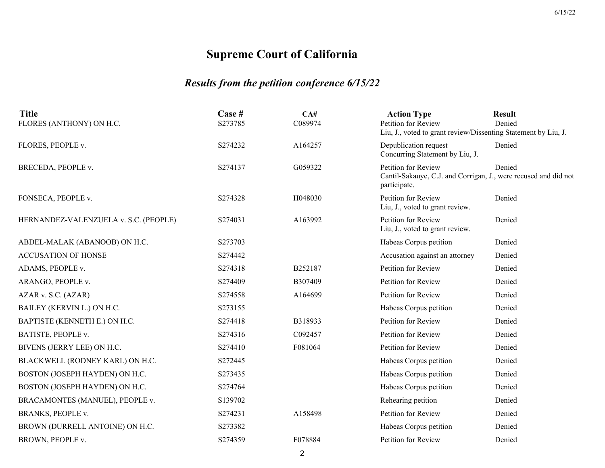| <b>Title</b>                          | Case #  | CA#     | <b>Action Type</b>                                                                                     | <b>Result</b> |
|---------------------------------------|---------|---------|--------------------------------------------------------------------------------------------------------|---------------|
| FLORES (ANTHONY) ON H.C.              | S273785 | C089974 | Petition for Review<br>Liu, J., voted to grant review/Dissenting Statement by Liu, J.                  | Denied        |
| FLORES, PEOPLE v.                     | S274232 | A164257 | Depublication request<br>Concurring Statement by Liu, J.                                               | Denied        |
| BRECEDA, PEOPLE v.                    | S274137 | G059322 | Petition for Review<br>Cantil-Sakauye, C.J. and Corrigan, J., were recused and did not<br>participate. | Denied        |
| FONSECA, PEOPLE v.                    | S274328 | H048030 | Petition for Review<br>Liu, J., voted to grant review.                                                 | Denied        |
| HERNANDEZ-VALENZUELA v. S.C. (PEOPLE) | S274031 | A163992 | Petition for Review<br>Liu, J., voted to grant review.                                                 | Denied        |
| ABDEL-MALAK (ABANOOB) ON H.C.         | S273703 |         | Habeas Corpus petition                                                                                 | Denied        |
| <b>ACCUSATION OF HONSE</b>            | S274442 |         | Accusation against an attorney                                                                         | Denied        |
| ADAMS, PEOPLE v.                      | S274318 | B252187 | Petition for Review                                                                                    | Denied        |
| ARANGO, PEOPLE v.                     | S274409 | B307409 | Petition for Review                                                                                    | Denied        |
| AZAR v. S.C. (AZAR)                   | S274558 | A164699 | Petition for Review                                                                                    | Denied        |
| BAILEY (KERVIN L.) ON H.C.            | S273155 |         | Habeas Corpus petition                                                                                 | Denied        |
| BAPTISTE (KENNETH E.) ON H.C.         | S274418 | B318933 | Petition for Review                                                                                    | Denied        |
| BATISTE, PEOPLE v.                    | S274316 | C092457 | Petition for Review                                                                                    | Denied        |
| BIVENS (JERRY LEE) ON H.C.            | S274410 | F081064 | Petition for Review                                                                                    | Denied        |
| BLACKWELL (RODNEY KARL) ON H.C.       | S272445 |         | Habeas Corpus petition                                                                                 | Denied        |
| BOSTON (JOSEPH HAYDEN) ON H.C.        | S273435 |         | Habeas Corpus petition                                                                                 | Denied        |
| BOSTON (JOSEPH HAYDEN) ON H.C.        | S274764 |         | Habeas Corpus petition                                                                                 | Denied        |
| BRACAMONTES (MANUEL), PEOPLE v.       | S139702 |         | Rehearing petition                                                                                     | Denied        |
| BRANKS, PEOPLE v.                     | S274231 | A158498 | Petition for Review                                                                                    | Denied        |
| BROWN (DURRELL ANTOINE) ON H.C.       | S273382 |         | Habeas Corpus petition                                                                                 | Denied        |
| BROWN, PEOPLE v.                      | S274359 | F078884 | Petition for Review                                                                                    | Denied        |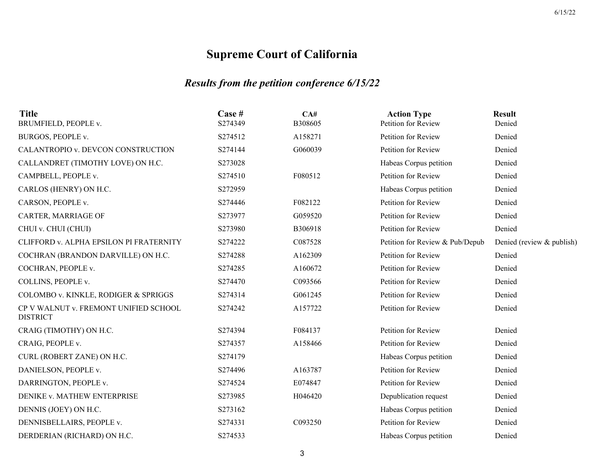| <b>Title</b><br>BRUMFIELD, PEOPLE v.                     | Case #<br>S274349 | CA#<br>B308605 | <b>Action Type</b><br>Petition for Review | <b>Result</b><br>Denied   |
|----------------------------------------------------------|-------------------|----------------|-------------------------------------------|---------------------------|
| BURGOS, PEOPLE v.                                        | S274512           | A158271        | Petition for Review                       | Denied                    |
| CALANTROPIO v. DEVCON CONSTRUCTION                       | S274144           | G060039        | Petition for Review                       | Denied                    |
| CALLANDRET (TIMOTHY LOVE) ON H.C.                        | S273028           |                | Habeas Corpus petition                    | Denied                    |
| CAMPBELL, PEOPLE v.                                      | S274510           | F080512        | Petition for Review                       | Denied                    |
| CARLOS (HENRY) ON H.C.                                   | S272959           |                | Habeas Corpus petition                    | Denied                    |
| CARSON, PEOPLE v.                                        | S274446           | F082122        | Petition for Review                       | Denied                    |
| CARTER, MARRIAGE OF                                      | S273977           | G059520        | Petition for Review                       | Denied                    |
| CHUI v. CHUI (CHUI)                                      | S273980           | B306918        | Petition for Review                       | Denied                    |
| CLIFFORD v. ALPHA EPSILON PI FRATERNITY                  | S274222           | C087528        | Petition for Review & Pub/Depub           | Denied (review & publish) |
| COCHRAN (BRANDON DARVILLE) ON H.C.                       | S274288           | A162309        | Petition for Review                       | Denied                    |
| COCHRAN, PEOPLE v.                                       | S274285           | A160672        | Petition for Review                       | Denied                    |
| COLLINS, PEOPLE v.                                       | S274470           | C093566        | Petition for Review                       | Denied                    |
| COLOMBO v. KINKLE, RODIGER & SPRIGGS                     | S274314           | G061245        | Petition for Review                       | Denied                    |
| CP V WALNUT v. FREMONT UNIFIED SCHOOL<br><b>DISTRICT</b> | S274242           | A157722        | Petition for Review                       | Denied                    |
| CRAIG (TIMOTHY) ON H.C.                                  | S274394           | F084137        | Petition for Review                       | Denied                    |
| CRAIG, PEOPLE v.                                         | S274357           | A158466        | Petition for Review                       | Denied                    |
| CURL (ROBERT ZANE) ON H.C.                               | S274179           |                | Habeas Corpus petition                    | Denied                    |
| DANIELSON, PEOPLE v.                                     | S274496           | A163787        | Petition for Review                       | Denied                    |
| DARRINGTON, PEOPLE v.                                    | S274524           | E074847        | Petition for Review                       | Denied                    |
| DENIKE v. MATHEW ENTERPRISE                              | S273985           | H046420        | Depublication request                     | Denied                    |
| DENNIS (JOEY) ON H.C.                                    | S273162           |                | Habeas Corpus petition                    | Denied                    |
| DENNISBELLAIRS, PEOPLE v.                                | S274331           | C093250        | Petition for Review                       | Denied                    |
| DERDERIAN (RICHARD) ON H.C.                              | S274533           |                | Habeas Corpus petition                    | Denied                    |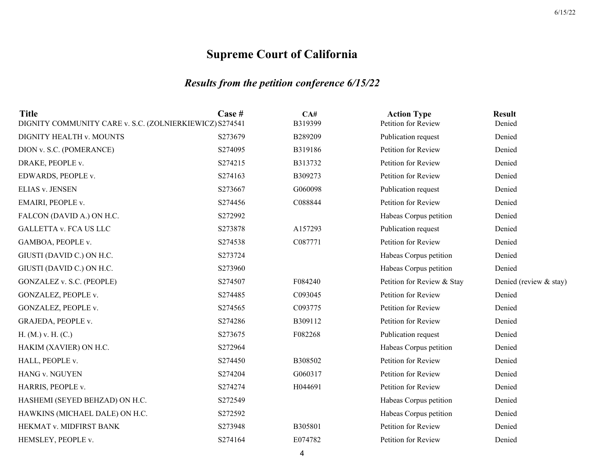## *Results from the petition conference 6/15/22*

| <b>Title</b><br>DIGNITY COMMUNITY CARE v. S.C. (ZOLNIERKIEWICZ) S274541 | Case #  | CA#<br>B319399 | <b>Action Type</b><br>Petition for Review | <b>Result</b><br>Denied |
|-------------------------------------------------------------------------|---------|----------------|-------------------------------------------|-------------------------|
| DIGNITY HEALTH v. MOUNTS                                                | S273679 | B289209        | Publication request                       | Denied                  |
| DION v. S.C. (POMERANCE)                                                | S274095 | B319186        | Petition for Review                       | Denied                  |
| DRAKE, PEOPLE v.                                                        | S274215 | B313732        | Petition for Review                       | Denied                  |
| EDWARDS, PEOPLE v.                                                      | S274163 | B309273        | Petition for Review                       | Denied                  |
| <b>ELIAS v. JENSEN</b>                                                  | S273667 | G060098        | Publication request                       | Denied                  |
| EMAIRI, PEOPLE v.                                                       | S274456 | C088844        | Petition for Review                       | Denied                  |
| FALCON (DAVID A.) ON H.C.                                               | S272992 |                | Habeas Corpus petition                    | Denied                  |
| <b>GALLETTA v. FCA US LLC</b>                                           | S273878 | A157293        | Publication request                       | Denied                  |
| GAMBOA, PEOPLE v.                                                       | S274538 | C087771        | Petition for Review                       | Denied                  |
| GIUSTI (DAVID C.) ON H.C.                                               | S273724 |                | Habeas Corpus petition                    | Denied                  |
| GIUSTI (DAVID C.) ON H.C.                                               | S273960 |                | Habeas Corpus petition                    | Denied                  |
| GONZALEZ v. S.C. (PEOPLE)                                               | S274507 | F084240        | Petition for Review & Stay                | Denied (review & stay)  |
| GONZALEZ, PEOPLE v.                                                     | S274485 | C093045        | Petition for Review                       | Denied                  |
| GONZALEZ, PEOPLE v.                                                     | S274565 | C093775        | Petition for Review                       | Denied                  |
| GRAJEDA, PEOPLE v.                                                      | S274286 | B309112        | Petition for Review                       | Denied                  |
| H. (M.) v. H. (C.)                                                      | S273675 | F082268        | Publication request                       | Denied                  |
| HAKIM (XAVIER) ON H.C.                                                  | S272964 |                | Habeas Corpus petition                    | Denied                  |
| HALL, PEOPLE v.                                                         | S274450 | B308502        | Petition for Review                       | Denied                  |
| HANG v. NGUYEN                                                          | S274204 | G060317        | Petition for Review                       | Denied                  |
| HARRIS, PEOPLE v.                                                       | S274274 | H044691        | Petition for Review                       | Denied                  |
| HASHEMI (SEYED BEHZAD) ON H.C.                                          | S272549 |                | Habeas Corpus petition                    | Denied                  |
| HAWKINS (MICHAEL DALE) ON H.C.                                          | S272592 |                | Habeas Corpus petition                    | Denied                  |
| HEKMAT v. MIDFIRST BANK                                                 | S273948 | B305801        | Petition for Review                       | Denied                  |
| HEMSLEY, PEOPLE v.                                                      | S274164 | E074782        | Petition for Review                       | Denied                  |
|                                                                         |         |                |                                           |                         |

4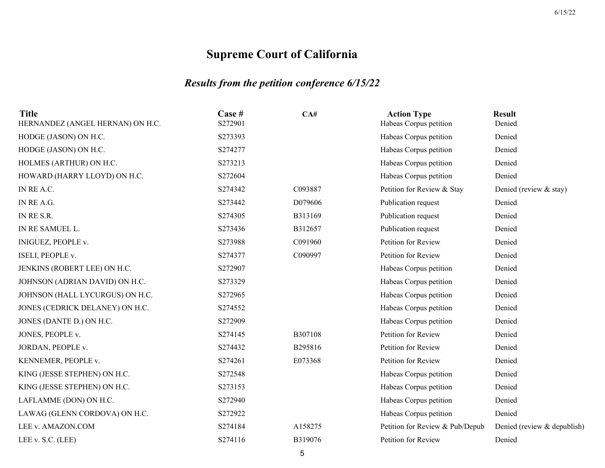| <b>Title</b><br>HERNANDEZ (ANGEL HERNAN) ON H.C. | Case #<br>S272901 | CA#     | <b>Action Type</b><br>Habeas Corpus petition | <b>Result</b><br>Denied     |
|--------------------------------------------------|-------------------|---------|----------------------------------------------|-----------------------------|
| HODGE (JASON) ON H.C.                            | S273393           |         | Habeas Corpus petition                       | Denied                      |
| HODGE (JASON) ON H.C.                            | S274277           |         | Habeas Corpus petition                       | Denied                      |
| HOLMES (ARTHUR) ON H.C.                          | S273213           |         | Habeas Corpus petition                       | Denied                      |
| HOWARD (HARRY LLOYD) ON H.C.                     | S272604           |         | Habeas Corpus petition                       | Denied                      |
| IN RE A.C.                                       | S274342           | C093887 | Petition for Review & Stay                   | Denied (review & stay)      |
| IN RE A.G.                                       | S273442           | D079606 | Publication request                          | Denied                      |
| IN RE S.R.                                       | S274305           | B313169 | Publication request                          | Denied                      |
| IN RE SAMUEL L.                                  | S273436           | B312657 | Publication request                          | Denied                      |
| INIGUEZ, PEOPLE v.                               | S273988           | C091960 | Petition for Review                          | Denied                      |
| ISELI, PEOPLE v.                                 | S274377           | C090997 | Petition for Review                          | Denied                      |
| JENKINS (ROBERT LEE) ON H.C.                     | S272907           |         | Habeas Corpus petition                       | Denied                      |
| JOHNSON (ADRIAN DAVID) ON H.C.                   | S273329           |         | Habeas Corpus petition                       | Denied                      |
| JOHNSON (HALL LYCURGUS) ON H.C.                  | S272965           |         | Habeas Corpus petition                       | Denied                      |
| JONES (CEDRICK DELANEY) ON H.C.                  | S274552           |         | Habeas Corpus petition                       | Denied                      |
| JONES (DANTE D.) ON H.C.                         | S272909           |         | Habeas Corpus petition                       | Denied                      |
| JONES, PEOPLE v.                                 | S274145           | B307108 | Petition for Review                          | Denied                      |
| JORDAN, PEOPLE v.                                | S274432           | B295816 | Petition for Review                          | Denied                      |
| KENNEMER, PEOPLE v.                              | S274261           | E073368 | Petition for Review                          | Denied                      |
| KING (JESSE STEPHEN) ON H.C.                     | S272548           |         | Habeas Corpus petition                       | Denied                      |
| KING (JESSE STEPHEN) ON H.C.                     | S273153           |         | Habeas Corpus petition                       | Denied                      |
| LAFLAMME (DON) ON H.C.                           | S272940           |         | Habeas Corpus petition                       | Denied                      |
| LAWAG (GLENN CORDOVA) ON H.C.                    | S272922           |         | Habeas Corpus petition                       | Denied                      |
| LEE v. AMAZON.COM                                | S274184           | A158275 | Petition for Review & Pub/Depub              | Denied (review & depublish) |
| LEE v. S.C. (LEE)                                | S274116           | B319076 | Petition for Review                          | Denied                      |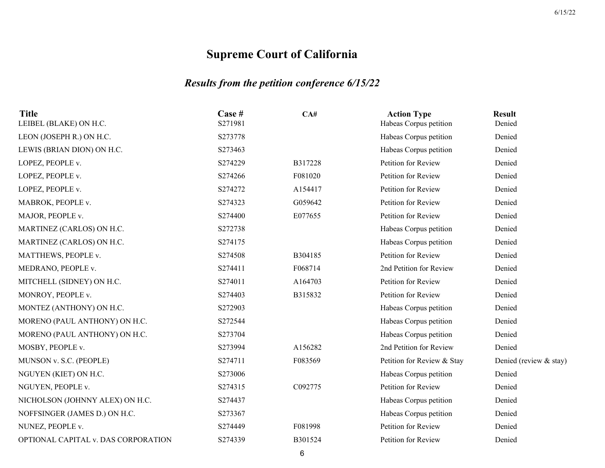## *Results from the petition conference 6/15/22*

| Case #<br>S271981 | CA#     | <b>Action Type</b><br>Habeas Corpus petition | <b>Result</b><br>Denied |
|-------------------|---------|----------------------------------------------|-------------------------|
| S273778           |         | Habeas Corpus petition                       | Denied                  |
| S273463           |         | Habeas Corpus petition                       | Denied                  |
| S274229           | B317228 | Petition for Review                          | Denied                  |
| S274266           | F081020 | Petition for Review                          | Denied                  |
| S274272           | A154417 | Petition for Review                          | Denied                  |
| S274323           | G059642 | Petition for Review                          | Denied                  |
| S274400           | E077655 | Petition for Review                          | Denied                  |
| S272738           |         | Habeas Corpus petition                       | Denied                  |
| S274175           |         | Habeas Corpus petition                       | Denied                  |
| S274508           | B304185 | Petition for Review                          | Denied                  |
| S274411           | F068714 | 2nd Petition for Review                      | Denied                  |
| S274011           | A164703 | Petition for Review                          | Denied                  |
| S274403           | B315832 | Petition for Review                          | Denied                  |
| S272903           |         | Habeas Corpus petition                       | Denied                  |
| S272544           |         | Habeas Corpus petition                       | Denied                  |
| S273704           |         | Habeas Corpus petition                       | Denied                  |
| S273994           | A156282 | 2nd Petition for Review                      | Denied                  |
| S274711           | F083569 | Petition for Review & Stay                   | Denied (review & stay)  |
| S273006           |         | Habeas Corpus petition                       | Denied                  |
| S274315           | C092775 | Petition for Review                          | Denied                  |
| S274437           |         | Habeas Corpus petition                       | Denied                  |
| S273367           |         | Habeas Corpus petition                       | Denied                  |
| S274449           | F081998 | Petition for Review                          | Denied                  |
| S274339           | B301524 | Petition for Review                          | Denied                  |
|                   |         |                                              |                         |

6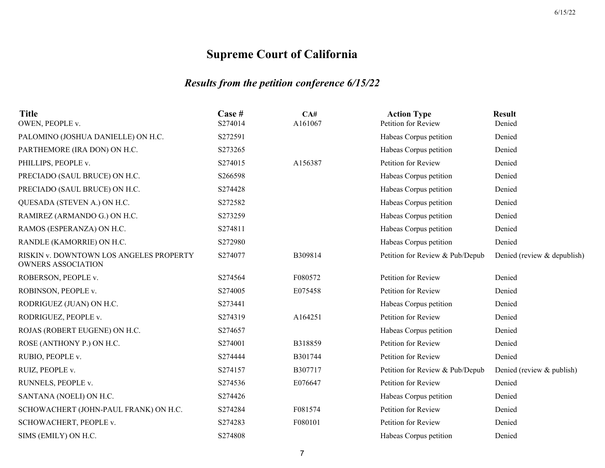| <b>Title</b><br>OWEN, PEOPLE v.                                      | Case #<br>S274014 | CA#<br>A161067 | <b>Action Type</b><br>Petition for Review | <b>Result</b><br>Denied     |
|----------------------------------------------------------------------|-------------------|----------------|-------------------------------------------|-----------------------------|
| PALOMINO (JOSHUA DANIELLE) ON H.C.                                   | S272591           |                | Habeas Corpus petition                    | Denied                      |
| PARTHEMORE (IRA DON) ON H.C.                                         | S273265           |                | Habeas Corpus petition                    | Denied                      |
| PHILLIPS, PEOPLE v.                                                  | S274015           | A156387        | Petition for Review                       | Denied                      |
| PRECIADO (SAUL BRUCE) ON H.C.                                        | S266598           |                | Habeas Corpus petition                    | Denied                      |
| PRECIADO (SAUL BRUCE) ON H.C.                                        | S274428           |                | Habeas Corpus petition                    | Denied                      |
| QUESADA (STEVEN A.) ON H.C.                                          | S272582           |                | Habeas Corpus petition                    | Denied                      |
| RAMIREZ (ARMANDO G.) ON H.C.                                         | S273259           |                | Habeas Corpus petition                    | Denied                      |
| RAMOS (ESPERANZA) ON H.C.                                            | S274811           |                | Habeas Corpus petition                    | Denied                      |
| RANDLE (KAMORRIE) ON H.C.                                            | S272980           |                | Habeas Corpus petition                    | Denied                      |
| RISKIN v. DOWNTOWN LOS ANGELES PROPERTY<br><b>OWNERS ASSOCIATION</b> | S274077           | B309814        | Petition for Review & Pub/Depub           | Denied (review & depublish) |
| ROBERSON, PEOPLE v.                                                  | S274564           | F080572        | Petition for Review                       | Denied                      |
| ROBINSON, PEOPLE v.                                                  | S274005           | E075458        | Petition for Review                       | Denied                      |
| RODRIGUEZ (JUAN) ON H.C.                                             | S273441           |                | Habeas Corpus petition                    | Denied                      |
| RODRIGUEZ, PEOPLE v.                                                 | S274319           | A164251        | Petition for Review                       | Denied                      |
| ROJAS (ROBERT EUGENE) ON H.C.                                        | S274657           |                | Habeas Corpus petition                    | Denied                      |
| ROSE (ANTHONY P.) ON H.C.                                            | S274001           | B318859        | Petition for Review                       | Denied                      |
| RUBIO, PEOPLE v.                                                     | S274444           | B301744        | Petition for Review                       | Denied                      |
| RUIZ, PEOPLE v.                                                      | S274157           | B307717        | Petition for Review & Pub/Depub           | Denied (review & publish)   |
| RUNNELS, PEOPLE v.                                                   | S274536           | E076647        | Petition for Review                       | Denied                      |
| SANTANA (NOELI) ON H.C.                                              | S274426           |                | Habeas Corpus petition                    | Denied                      |
| SCHOWACHERT (JOHN-PAUL FRANK) ON H.C.                                | S274284           | F081574        | Petition for Review                       | Denied                      |
| SCHOWACHERT, PEOPLE v.                                               | S274283           | F080101        | Petition for Review                       | Denied                      |
| SIMS (EMILY) ON H.C.                                                 | S274808           |                | Habeas Corpus petition                    | Denied                      |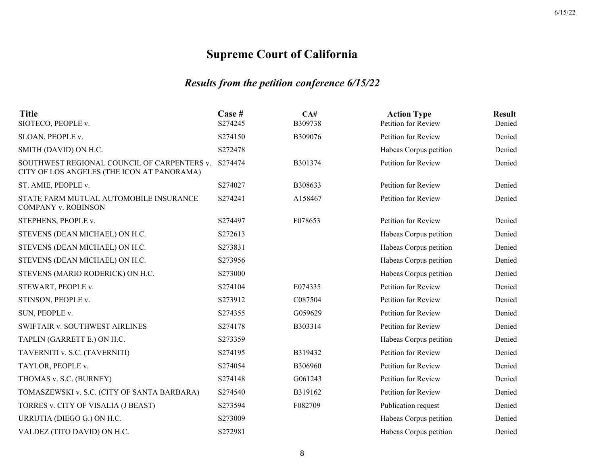| <b>Title</b><br>SIOTECO, PEOPLE v.                                                        | Case #<br>S274245 | CA#<br>B309738 | <b>Action Type</b><br>Petition for Review | <b>Result</b><br>Denied |
|-------------------------------------------------------------------------------------------|-------------------|----------------|-------------------------------------------|-------------------------|
| SLOAN, PEOPLE v.                                                                          | S274150           | B309076        | Petition for Review                       | Denied                  |
| SMITH (DAVID) ON H.C.                                                                     | S272478           |                | Habeas Corpus petition                    | Denied                  |
| SOUTHWEST REGIONAL COUNCIL OF CARPENTERS v.<br>CITY OF LOS ANGELES (THE ICON AT PANORAMA) | S274474           | B301374        | Petition for Review                       | Denied                  |
| ST. AMIE, PEOPLE v.                                                                       | S274027           | B308633        | Petition for Review                       | Denied                  |
| STATE FARM MUTUAL AUTOMOBILE INSURANCE<br><b>COMPANY v. ROBINSON</b>                      | S274241           | A158467        | Petition for Review                       | Denied                  |
| STEPHENS, PEOPLE v.                                                                       | S274497           | F078653        | Petition for Review                       | Denied                  |
| STEVENS (DEAN MICHAEL) ON H.C.                                                            | S272613           |                | Habeas Corpus petition                    | Denied                  |
| STEVENS (DEAN MICHAEL) ON H.C.                                                            | S273831           |                | Habeas Corpus petition                    | Denied                  |
| STEVENS (DEAN MICHAEL) ON H.C.                                                            | S273956           |                | Habeas Corpus petition                    | Denied                  |
| STEVENS (MARIO RODERICK) ON H.C.                                                          | S273000           |                | Habeas Corpus petition                    | Denied                  |
| STEWART, PEOPLE v.                                                                        | S274104           | E074335        | Petition for Review                       | Denied                  |
| STINSON, PEOPLE v.                                                                        | S273912           | C087504        | Petition for Review                       | Denied                  |
| SUN, PEOPLE v.                                                                            | S274355           | G059629        | Petition for Review                       | Denied                  |
| SWIFTAIR v. SOUTHWEST AIRLINES                                                            | S274178           | B303314        | Petition for Review                       | Denied                  |
| TAPLIN (GARRETT E.) ON H.C.                                                               | S273359           |                | Habeas Corpus petition                    | Denied                  |
| TAVERNITI v. S.C. (TAVERNITI)                                                             | S274195           | B319432        | Petition for Review                       | Denied                  |
| TAYLOR, PEOPLE v.                                                                         | S274054           | <b>B306960</b> | Petition for Review                       | Denied                  |
| THOMAS v. S.C. (BURNEY)                                                                   | S274148           | G061243        | Petition for Review                       | Denied                  |
| TOMASZEWSKI v. S.C. (CITY OF SANTA BARBARA)                                               | S274540           | B319162        | Petition for Review                       | Denied                  |
| TORRES v. CITY OF VISALIA (J BEAST)                                                       | S273594           | F082709        | Publication request                       | Denied                  |
| URRUTIA (DIEGO G.) ON H.C.                                                                | S273009           |                | Habeas Corpus petition                    | Denied                  |
| VALDEZ (TITO DAVID) ON H.C.                                                               | S272981           |                | Habeas Corpus petition                    | Denied                  |